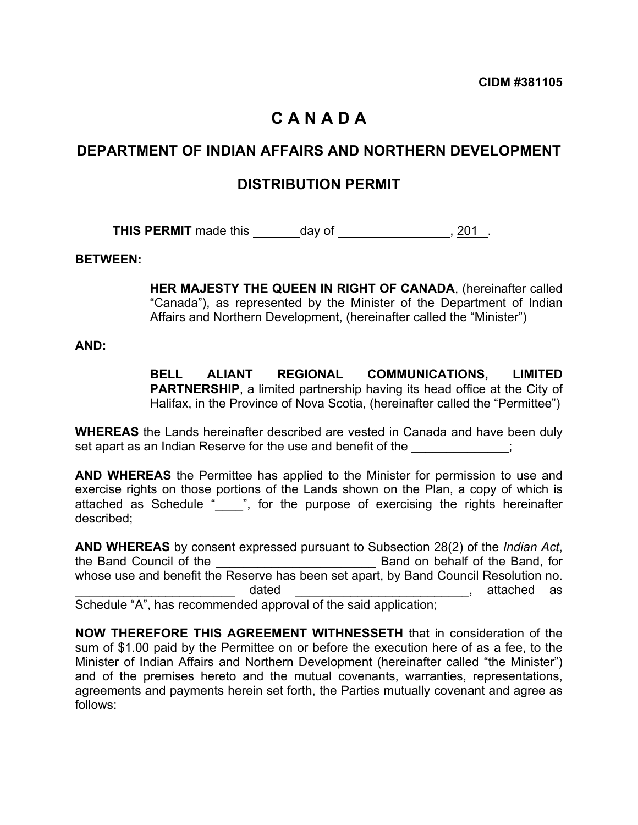# **C A N A D A**

# **DEPARTMENT OF INDIAN AFFAIRS AND NORTHERN DEVELOPMENT**

# **DISTRIBUTION PERMIT**

**THIS PERMIT** made this day of 1.1.1.1.201 .

#### **BETWEEN:**

**HER MAJESTY THE QUEEN IN RIGHT OF CANADA**, (hereinafter called "Canada"), as represented by the Minister of the Department of Indian Affairs and Northern Development, (hereinafter called the "Minister")

#### **AND:**

**BELL ALIANT REGIONAL COMMUNICATIONS, LIMITED PARTNERSHIP**, a limited partnership having its head office at the City of Halifax, in the Province of Nova Scotia, (hereinafter called the "Permittee")

**WHEREAS** the Lands hereinafter described are vested in Canada and have been duly set apart as an Indian Reserve for the use and benefit of the  $\hspace{1.5cm}$ ;

**AND WHEREAS** the Permittee has applied to the Minister for permission to use and exercise rights on those portions of the Lands shown on the Plan, a copy of which is attached as Schedule " ", for the purpose of exercising the rights hereinafter described;

**AND WHEREAS** by consent expressed pursuant to Subsection 28(2) of the *Indian Act*, the Band Council of the the state of the Band on behalf of the Band, for whose use and benefit the Reserve has been set apart, by Band Council Resolution no. \_\_\_\_\_\_\_\_\_\_\_\_\_\_\_\_\_\_\_\_\_\_\_ dated \_\_\_\_\_\_\_\_\_\_\_\_\_\_\_\_\_\_\_\_\_\_\_\_\_, attached as Schedule "A", has recommended approval of the said application;

**NOW THEREFORE THIS AGREEMENT WITHNESSETH** that in consideration of the sum of \$1.00 paid by the Permittee on or before the execution here of as a fee, to the Minister of Indian Affairs and Northern Development (hereinafter called "the Minister") and of the premises hereto and the mutual covenants, warranties, representations, agreements and payments herein set forth, the Parties mutually covenant and agree as follows: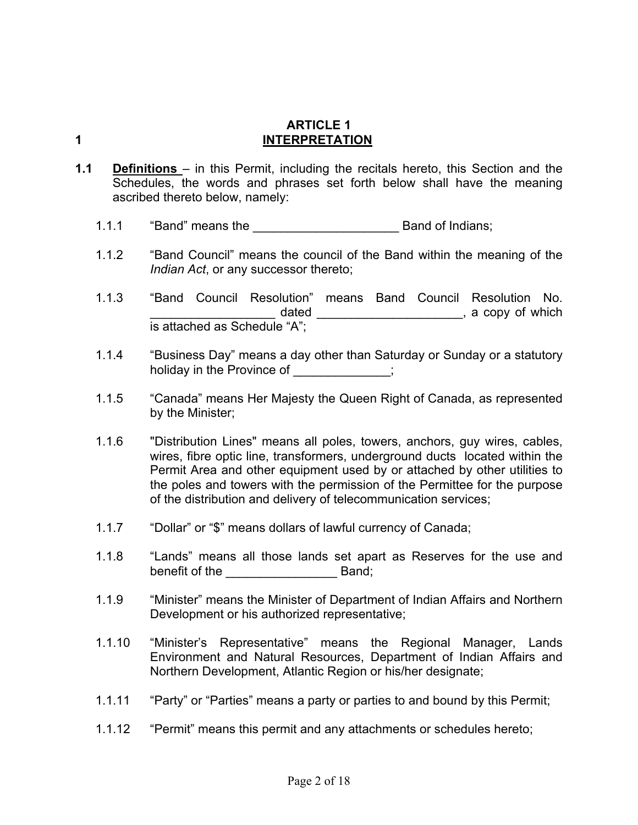#### **ARTICLE 1 1 INTERPRETATION**

- **1.1 Definitions** in this Permit, including the recitals hereto, this Section and the Schedules, the words and phrases set forth below shall have the meaning ascribed thereto below, namely:
	- 1.1.1 "Band" means the **Band Strategier Search Band of Indians**;
	- 1.1.2 "Band Council" means the council of the Band within the meaning of the *Indian Act*, or any successor thereto;

1.1.3 "Band Council Resolution" means Band Council Resolution No. dated discussed and a set of the set of the dated  $\sim$  and  $\sim$  , a copy of which is attached as Schedule "A";

- 1.1.4 "Business Day" means a day other than Saturday or Sunday or a statutory holiday in the Province of  $\ddot{\hspace{1cm}}$ ;
- 1.1.5 "Canada" means Her Majesty the Queen Right of Canada, as represented by the Minister;
- 1.1.6 "Distribution Lines" means all poles, towers, anchors, guy wires, cables, wires, fibre optic line, transformers, underground ducts located within the Permit Area and other equipment used by or attached by other utilities to the poles and towers with the permission of the Permittee for the purpose of the distribution and delivery of telecommunication services;
- 1.1.7 "Dollar" or "\$" means dollars of lawful currency of Canada;
- 1.1.8 "Lands" means all those lands set apart as Reserves for the use and benefit of the \_\_\_\_\_\_\_\_\_\_\_\_\_\_\_\_ Band;
- 1.1.9 "Minister" means the Minister of Department of Indian Affairs and Northern Development or his authorized representative;
- 1.1.10 "Minister's Representative" means the Regional Manager, Lands Environment and Natural Resources, Department of Indian Affairs and Northern Development, Atlantic Region or his/her designate;
- 1.1.11 "Party" or "Parties" means a party or parties to and bound by this Permit;
- 1.1.12 "Permit" means this permit and any attachments or schedules hereto;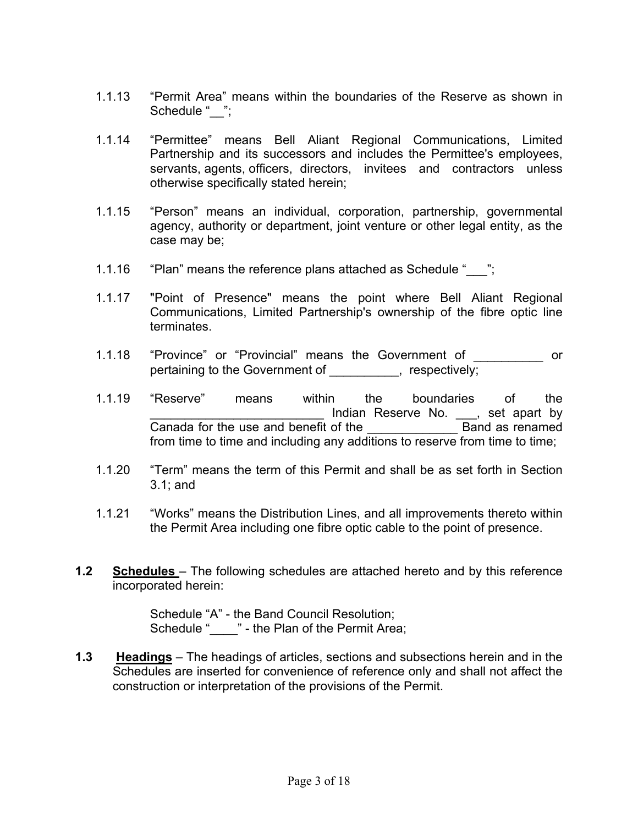- 1.1.13 "Permit Area" means within the boundaries of the Reserve as shown in Schedule " ";
- 1.1.14 "Permittee" means Bell Aliant Regional Communications, Limited Partnership and its successors and includes the Permittee's employees, servants, agents, officers, directors, invitees and contractors unless otherwise specifically stated herein;
- 1.1.15 "Person" means an individual, corporation, partnership, governmental agency, authority or department, joint venture or other legal entity, as the case may be;
- 1.1.16 "Plan" means the reference plans attached as Schedule " ";
- 1.1.17 "Point of Presence" means the point where Bell Aliant Regional Communications, Limited Partnership's ownership of the fibre optic line terminates.
- 1.1.18 "Province" or "Provincial" means the Government of \_\_\_\_\_\_\_\_\_\_ or pertaining to the Government of Theorem is a sepectively;
- 1.1.19 "Reserve" means within the boundaries of the Indian Reserve No. , set apart by Canada for the use and benefit of the **Example 20** Band as renamed from time to time and including any additions to reserve from time to time;
- 1.1.20 "Term" means the term of this Permit and shall be as set forth in Section 3.1; and
- 1.1.21 "Works" means the Distribution Lines, and all improvements thereto within the Permit Area including one fibre optic cable to the point of presence.
- **1.2 Schedules**  The following schedules are attached hereto and by this reference incorporated herein:

Schedule "A" - the Band Council Resolution; Schedule "\_\_\_\_" - the Plan of the Permit Area;

**1.3 Headings** – The headings of articles, sections and subsections herein and in the Schedules are inserted for convenience of reference only and shall not affect the construction or interpretation of the provisions of the Permit.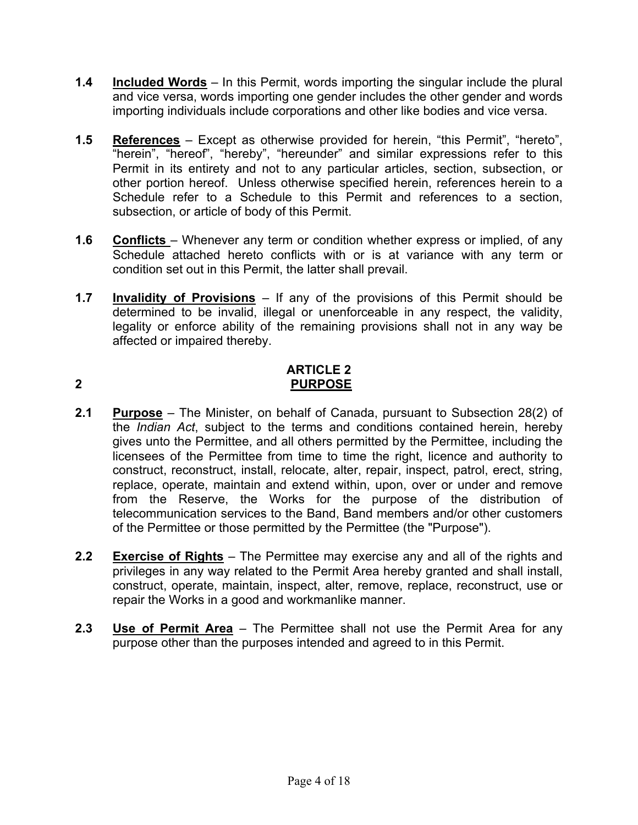- **1.4 Included Words** In this Permit, words importing the singular include the plural and vice versa, words importing one gender includes the other gender and words importing individuals include corporations and other like bodies and vice versa.
- **1.5 References** Except as otherwise provided for herein, "this Permit", "hereto", "herein", "hereof", "hereby", "hereunder" and similar expressions refer to this Permit in its entirety and not to any particular articles, section, subsection, or other portion hereof. Unless otherwise specified herein, references herein to a Schedule refer to a Schedule to this Permit and references to a section, subsection, or article of body of this Permit.
- **1.6 Conflicts**  Whenever any term or condition whether express or implied, of any Schedule attached hereto conflicts with or is at variance with any term or condition set out in this Permit, the latter shall prevail.
- **1.7 Invalidity of Provisions** If any of the provisions of this Permit should be determined to be invalid, illegal or unenforceable in any respect, the validity, legality or enforce ability of the remaining provisions shall not in any way be affected or impaired thereby.

### **ARTICLE 2 2 PURPOSE**

- **2.1 Purpose** The Minister, on behalf of Canada, pursuant to Subsection 28(2) of the *Indian Act*, subject to the terms and conditions contained herein, hereby gives unto the Permittee, and all others permitted by the Permittee, including the licensees of the Permittee from time to time the right, licence and authority to construct, reconstruct, install, relocate, alter, repair, inspect, patrol, erect, string, replace, operate, maintain and extend within, upon, over or under and remove from the Reserve, the Works for the purpose of the distribution of telecommunication services to the Band, Band members and/or other customers of the Permittee or those permitted by the Permittee (the "Purpose").
- **2.2 Exercise of Rights** The Permittee may exercise any and all of the rights and privileges in any way related to the Permit Area hereby granted and shall install, construct, operate, maintain, inspect, alter, remove, replace, reconstruct, use or repair the Works in a good and workmanlike manner.
- **2.3 Use of Permit Area** The Permittee shall not use the Permit Area for any purpose other than the purposes intended and agreed to in this Permit.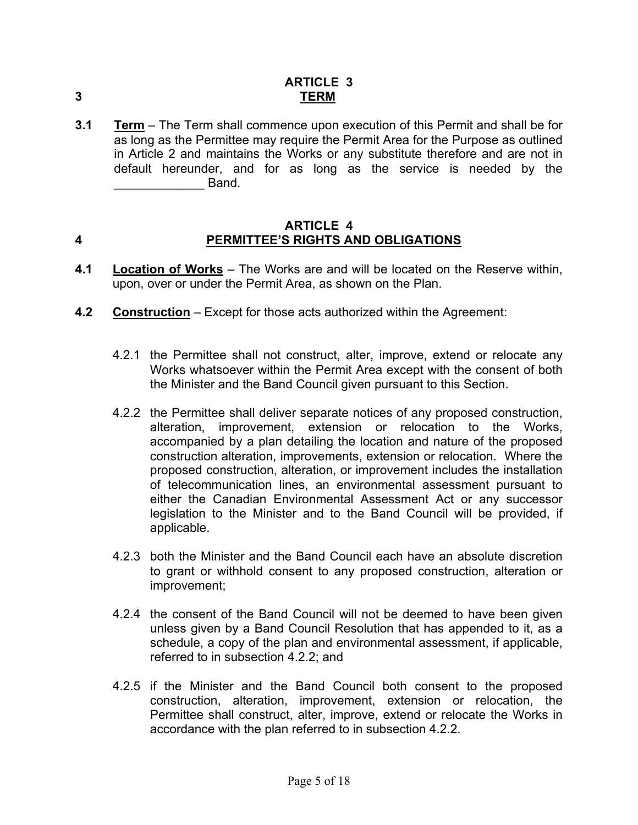**3.1 Term** – The Term shall commence upon execution of this Permit and shall be for as long as the Permittee may require the Permit Area for the Purpose as outlined in Article 2 and maintains the Works or any substitute therefore and are not in default hereunder, and for as long as the service is needed by the  $\blacksquare$  Band.

#### **ARTICLE 4 4 PERMITTEE'S RIGHTS AND OBLIGATIONS**

- **4.1 Location of Works** The Works are and will be located on the Reserve within, upon, over or under the Permit Area, as shown on the Plan.
- **4.2 Construction** Except for those acts authorized within the Agreement:
	- 4.2.1 the Permittee shall not construct, alter, improve, extend or relocate any Works whatsoever within the Permit Area except with the consent of both the Minister and the Band Council given pursuant to this Section.
	- 4.2.2 the Permittee shall deliver separate notices of any proposed construction, alteration, improvement, extension or relocation to the Works, accompanied by a plan detailing the location and nature of the proposed construction alteration, improvements, extension or relocation. Where the proposed construction, alteration, or improvement includes the installation of telecommunication lines, an environmental assessment pursuant to either the Canadian Environmental Assessment Act or any successor legislation to the Minister and to the Band Council will be provided, if applicable.
	- 4.2.3 both the Minister and the Band Council each have an absolute discretion to grant or withhold consent to any proposed construction, alteration or improvement;
	- 4.2.4 the consent of the Band Council will not be deemed to have been given unless given by a Band Council Resolution that has appended to it, as a schedule, a copy of the plan and environmental assessment, if applicable, referred to in subsection 4.2.2; and
	- 4.2.5 if the Minister and the Band Council both consent to the proposed construction, alteration, improvement, extension or relocation, the Permittee shall construct, alter, improve, extend or relocate the Works in accordance with the plan referred to in subsection 4.2.2.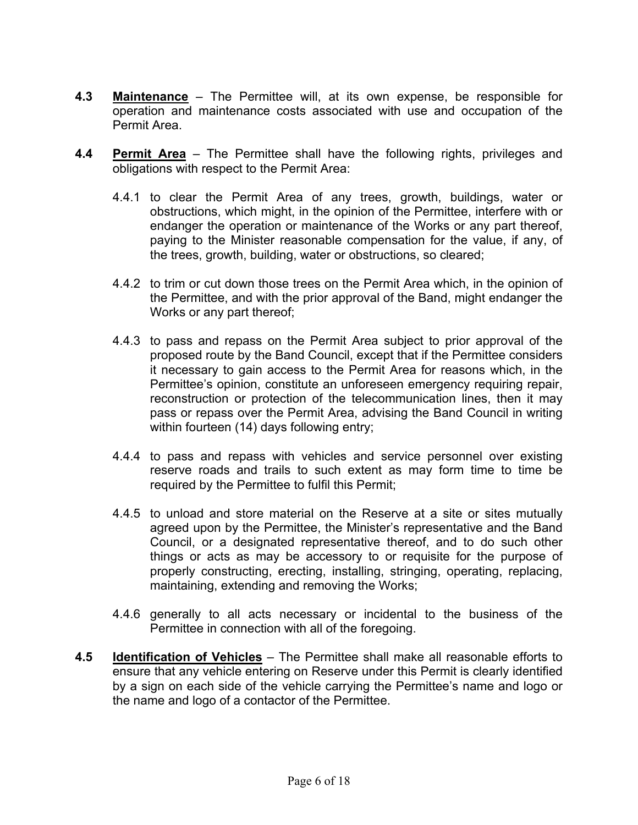- **4.3 Maintenance** The Permittee will, at its own expense, be responsible for operation and maintenance costs associated with use and occupation of the Permit Area.
- **4.4 Permit Area** The Permittee shall have the following rights, privileges and obligations with respect to the Permit Area:
	- 4.4.1 to clear the Permit Area of any trees, growth, buildings, water or obstructions, which might, in the opinion of the Permittee, interfere with or endanger the operation or maintenance of the Works or any part thereof, paying to the Minister reasonable compensation for the value, if any, of the trees, growth, building, water or obstructions, so cleared;
	- 4.4.2 to trim or cut down those trees on the Permit Area which, in the opinion of the Permittee, and with the prior approval of the Band, might endanger the Works or any part thereof;
	- 4.4.3 to pass and repass on the Permit Area subject to prior approval of the proposed route by the Band Council, except that if the Permittee considers it necessary to gain access to the Permit Area for reasons which, in the Permittee's opinion, constitute an unforeseen emergency requiring repair, reconstruction or protection of the telecommunication lines, then it may pass or repass over the Permit Area, advising the Band Council in writing within fourteen (14) days following entry;
	- 4.4.4 to pass and repass with vehicles and service personnel over existing reserve roads and trails to such extent as may form time to time be required by the Permittee to fulfil this Permit;
	- 4.4.5 to unload and store material on the Reserve at a site or sites mutually agreed upon by the Permittee, the Minister's representative and the Band Council, or a designated representative thereof, and to do such other things or acts as may be accessory to or requisite for the purpose of properly constructing, erecting, installing, stringing, operating, replacing, maintaining, extending and removing the Works;
	- 4.4.6 generally to all acts necessary or incidental to the business of the Permittee in connection with all of the foregoing.
- **4.5 Identification of Vehicles** The Permittee shall make all reasonable efforts to ensure that any vehicle entering on Reserve under this Permit is clearly identified by a sign on each side of the vehicle carrying the Permittee's name and logo or the name and logo of a contactor of the Permittee.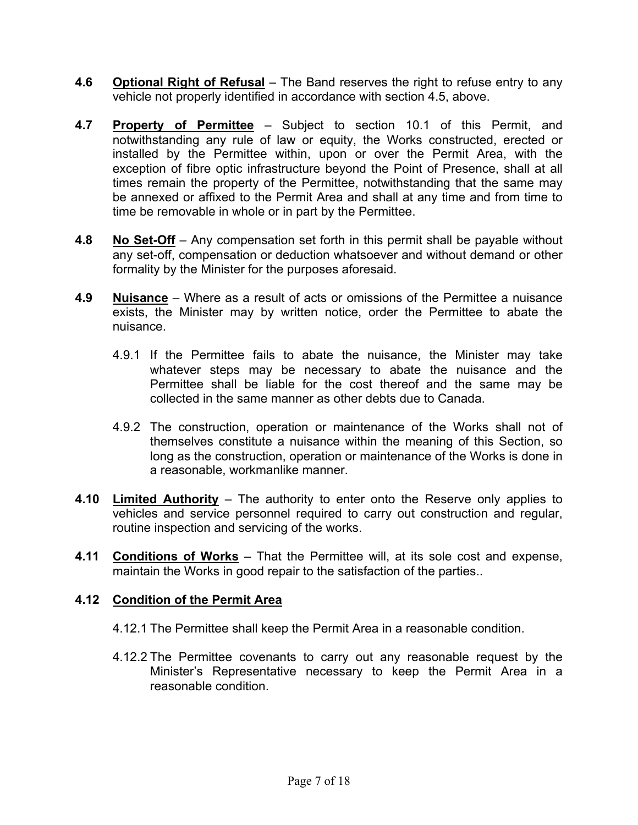- **4.6 Optional Right of Refusal** The Band reserves the right to refuse entry to any vehicle not properly identified in accordance with section 4.5, above.
- **4.7 Property of Permittee** Subject to section 10.1 of this Permit, and notwithstanding any rule of law or equity, the Works constructed, erected or installed by the Permittee within, upon or over the Permit Area, with the exception of fibre optic infrastructure beyond the Point of Presence, shall at all times remain the property of the Permittee, notwithstanding that the same may be annexed or affixed to the Permit Area and shall at any time and from time to time be removable in whole or in part by the Permittee.
- **4.8 No Set-Off** Any compensation set forth in this permit shall be payable without any set-off, compensation or deduction whatsoever and without demand or other formality by the Minister for the purposes aforesaid.
- **4.9 Nuisance** Where as a result of acts or omissions of the Permittee a nuisance exists, the Minister may by written notice, order the Permittee to abate the nuisance.
	- 4.9.1 If the Permittee fails to abate the nuisance, the Minister may take whatever steps may be necessary to abate the nuisance and the Permittee shall be liable for the cost thereof and the same may be collected in the same manner as other debts due to Canada.
	- 4.9.2 The construction, operation or maintenance of the Works shall not of themselves constitute a nuisance within the meaning of this Section, so long as the construction, operation or maintenance of the Works is done in a reasonable, workmanlike manner.
- **4.10 Limited Authority** The authority to enter onto the Reserve only applies to vehicles and service personnel required to carry out construction and regular, routine inspection and servicing of the works.
- **4.11 Conditions of Works** That the Permittee will, at its sole cost and expense, maintain the Works in good repair to the satisfaction of the parties..

### **4.12 Condition of the Permit Area**

- 4.12.1 The Permittee shall keep the Permit Area in a reasonable condition.
- 4.12.2 The Permittee covenants to carry out any reasonable request by the Minister's Representative necessary to keep the Permit Area in a reasonable condition.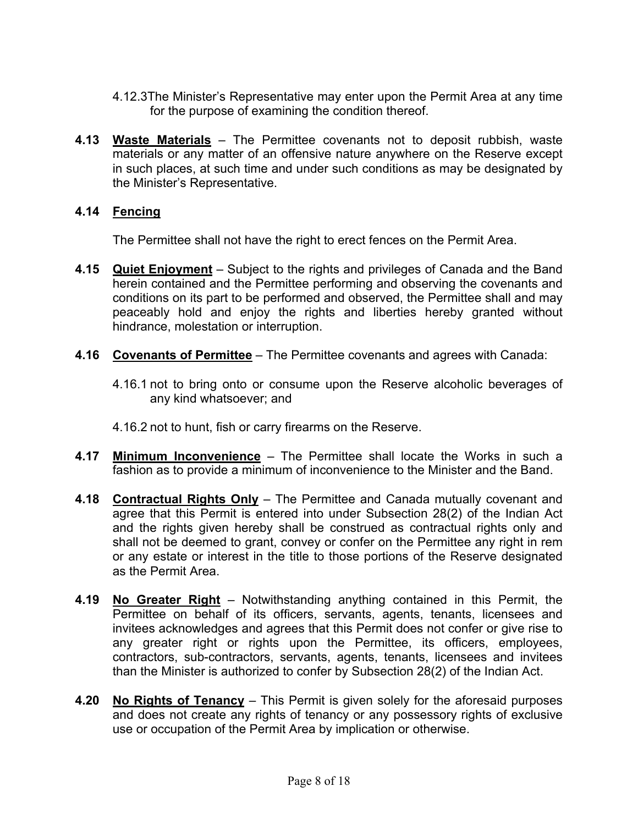- 4.12.3The Minister's Representative may enter upon the Permit Area at any time for the purpose of examining the condition thereof.
- **4.13 Waste Materials** The Permittee covenants not to deposit rubbish, waste materials or any matter of an offensive nature anywhere on the Reserve except in such places, at such time and under such conditions as may be designated by the Minister's Representative.

#### **4.14 Fencing**

The Permittee shall not have the right to erect fences on the Permit Area.

- **4.15 Quiet Enjoyment** Subject to the rights and privileges of Canada and the Band herein contained and the Permittee performing and observing the covenants and conditions on its part to be performed and observed, the Permittee shall and may peaceably hold and enjoy the rights and liberties hereby granted without hindrance, molestation or interruption.
- **4.16 Covenants of Permittee** The Permittee covenants and agrees with Canada:
	- 4.16.1 not to bring onto or consume upon the Reserve alcoholic beverages of any kind whatsoever; and
	- 4.16.2 not to hunt, fish or carry firearms on the Reserve.
- **4.17 Minimum Inconvenience** The Permittee shall locate the Works in such a fashion as to provide a minimum of inconvenience to the Minister and the Band.
- **4.18 Contractual Rights Only** The Permittee and Canada mutually covenant and agree that this Permit is entered into under Subsection 28(2) of the Indian Act and the rights given hereby shall be construed as contractual rights only and shall not be deemed to grant, convey or confer on the Permittee any right in rem or any estate or interest in the title to those portions of the Reserve designated as the Permit Area.
- **4.19 No Greater Right** Notwithstanding anything contained in this Permit, the Permittee on behalf of its officers, servants, agents, tenants, licensees and invitees acknowledges and agrees that this Permit does not confer or give rise to any greater right or rights upon the Permittee, its officers, employees, contractors, sub-contractors, servants, agents, tenants, licensees and invitees than the Minister is authorized to confer by Subsection 28(2) of the Indian Act.
- **4.20 No Rights of Tenancy** This Permit is given solely for the aforesaid purposes and does not create any rights of tenancy or any possessory rights of exclusive use or occupation of the Permit Area by implication or otherwise.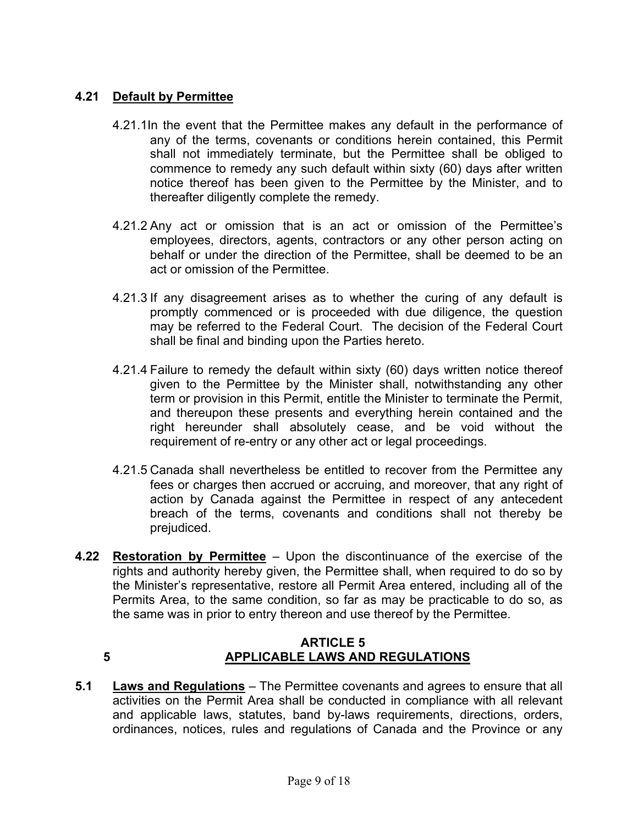### **4.21 Default by Permittee**

- 4.21.1In the event that the Permittee makes any default in the performance of any of the terms, covenants or conditions herein contained, this Permit shall not immediately terminate, but the Permittee shall be obliged to commence to remedy any such default within sixty (60) days after written notice thereof has been given to the Permittee by the Minister, and to thereafter diligently complete the remedy.
- 4.21.2 Any act or omission that is an act or omission of the Permittee's employees, directors, agents, contractors or any other person acting on behalf or under the direction of the Permittee, shall be deemed to be an act or omission of the Permittee.
- 4.21.3 If any disagreement arises as to whether the curing of any default is promptly commenced or is proceeded with due diligence, the question may be referred to the Federal Court. The decision of the Federal Court shall be final and binding upon the Parties hereto.
- 4.21.4 Failure to remedy the default within sixty (60) days written notice thereof given to the Permittee by the Minister shall, notwithstanding any other term or provision in this Permit, entitle the Minister to terminate the Permit, and thereupon these presents and everything herein contained and the right hereunder shall absolutely cease, and be void without the requirement of re-entry or any other act or legal proceedings.
- 4.21.5 Canada shall nevertheless be entitled to recover from the Permittee any fees or charges then accrued or accruing, and moreover, that any right of action by Canada against the Permittee in respect of any antecedent breach of the terms, covenants and conditions shall not thereby be prejudiced.
- **4.22 Restoration by Permittee** Upon the discontinuance of the exercise of the rights and authority hereby given, the Permittee shall, when required to do so by the Minister's representative, restore all Permit Area entered, including all of the Permits Area, to the same condition, so far as may be practicable to do so, as the same was in prior to entry thereon and use thereof by the Permittee.

#### **ARTICLE 5 5 APPLICABLE LAWS AND REGULATIONS**

**5.1 Laws and Regulations** – The Permittee covenants and agrees to ensure that all activities on the Permit Area shall be conducted in compliance with all relevant and applicable laws, statutes, band by-laws requirements, directions, orders, ordinances, notices, rules and regulations of Canada and the Province or any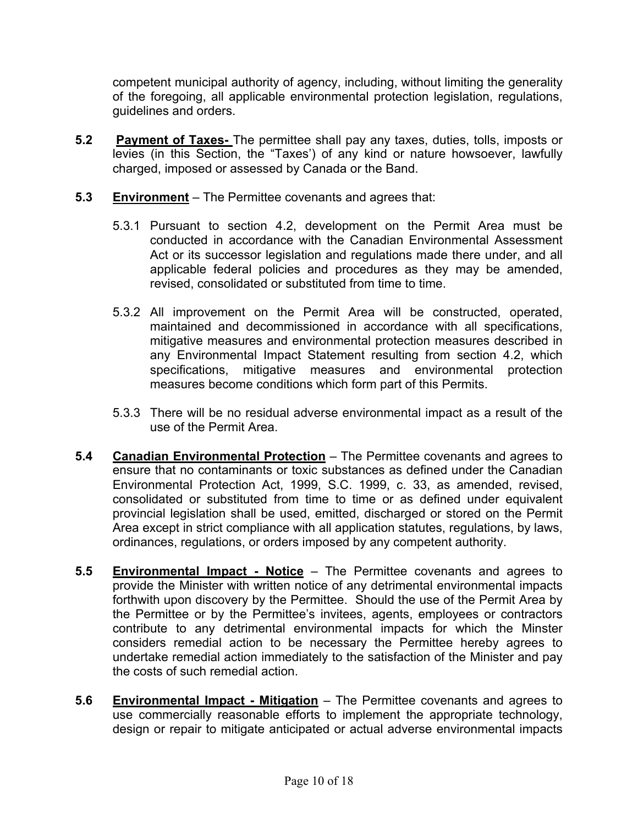competent municipal authority of agency, including, without limiting the generality of the foregoing, all applicable environmental protection legislation, regulations, guidelines and orders.

- **5.2 Payment of Taxes-** The permittee shall pay any taxes, duties, tolls, imposts or levies (in this Section, the "Taxes') of any kind or nature howsoever, lawfully charged, imposed or assessed by Canada or the Band.
- **5.3 Environment** The Permittee covenants and agrees that:
	- 5.3.1 Pursuant to section 4.2, development on the Permit Area must be conducted in accordance with the Canadian Environmental Assessment Act or its successor legislation and regulations made there under, and all applicable federal policies and procedures as they may be amended, revised, consolidated or substituted from time to time.
	- 5.3.2 All improvement on the Permit Area will be constructed, operated, maintained and decommissioned in accordance with all specifications, mitigative measures and environmental protection measures described in any Environmental Impact Statement resulting from section 4.2, which specifications, mitigative measures and environmental protection measures become conditions which form part of this Permits.
	- 5.3.3 There will be no residual adverse environmental impact as a result of the use of the Permit Area.
- **5.4 Canadian Environmental Protection** The Permittee covenants and agrees to ensure that no contaminants or toxic substances as defined under the Canadian Environmental Protection Act, 1999, S.C. 1999, c. 33, as amended, revised, consolidated or substituted from time to time or as defined under equivalent provincial legislation shall be used, emitted, discharged or stored on the Permit Area except in strict compliance with all application statutes, regulations, by laws, ordinances, regulations, or orders imposed by any competent authority.
- **5.5 Environmental Impact Notice** The Permittee covenants and agrees to provide the Minister with written notice of any detrimental environmental impacts forthwith upon discovery by the Permittee. Should the use of the Permit Area by the Permittee or by the Permittee's invitees, agents, employees or contractors contribute to any detrimental environmental impacts for which the Minster considers remedial action to be necessary the Permittee hereby agrees to undertake remedial action immediately to the satisfaction of the Minister and pay the costs of such remedial action.
- **5.6 Environmental Impact Mitigation** The Permittee covenants and agrees to use commercially reasonable efforts to implement the appropriate technology, design or repair to mitigate anticipated or actual adverse environmental impacts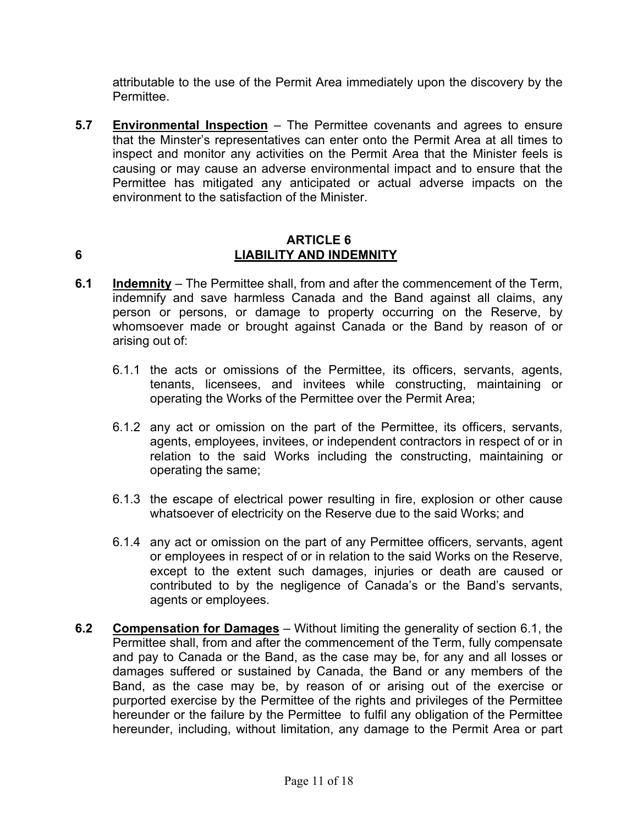attributable to the use of the Permit Area immediately upon the discovery by the Permittee.

**5.7 Environmental Inspection** – The Permittee covenants and agrees to ensure that the Minster's representatives can enter onto the Permit Area at all times to inspect and monitor any activities on the Permit Area that the Minister feels is causing or may cause an adverse environmental impact and to ensure that the Permittee has mitigated any anticipated or actual adverse impacts on the environment to the satisfaction of the Minister.

#### **ARTICLE 6 6 LIABILITY AND INDEMNITY**

- **6.1 Indemnity** The Permittee shall, from and after the commencement of the Term, indemnify and save harmless Canada and the Band against all claims, any person or persons, or damage to property occurring on the Reserve, by whomsoever made or brought against Canada or the Band by reason of or arising out of:
	- 6.1.1 the acts or omissions of the Permittee, its officers, servants, agents, tenants, licensees, and invitees while constructing, maintaining or operating the Works of the Permittee over the Permit Area;
	- 6.1.2 any act or omission on the part of the Permittee, its officers, servants, agents, employees, invitees, or independent contractors in respect of or in relation to the said Works including the constructing, maintaining or operating the same;
	- 6.1.3 the escape of electrical power resulting in fire, explosion or other cause whatsoever of electricity on the Reserve due to the said Works; and
	- 6.1.4 any act or omission on the part of any Permittee officers, servants, agent or employees in respect of or in relation to the said Works on the Reserve, except to the extent such damages, injuries or death are caused or contributed to by the negligence of Canada's or the Band's servants, agents or employees.
- **6.2 Compensation for Damages** Without limiting the generality of section 6.1, the Permittee shall, from and after the commencement of the Term, fully compensate and pay to Canada or the Band, as the case may be, for any and all losses or damages suffered or sustained by Canada, the Band or any members of the Band, as the case may be, by reason of or arising out of the exercise or purported exercise by the Permittee of the rights and privileges of the Permittee hereunder or the failure by the Permittee to fulfil any obligation of the Permittee hereunder, including, without limitation, any damage to the Permit Area or part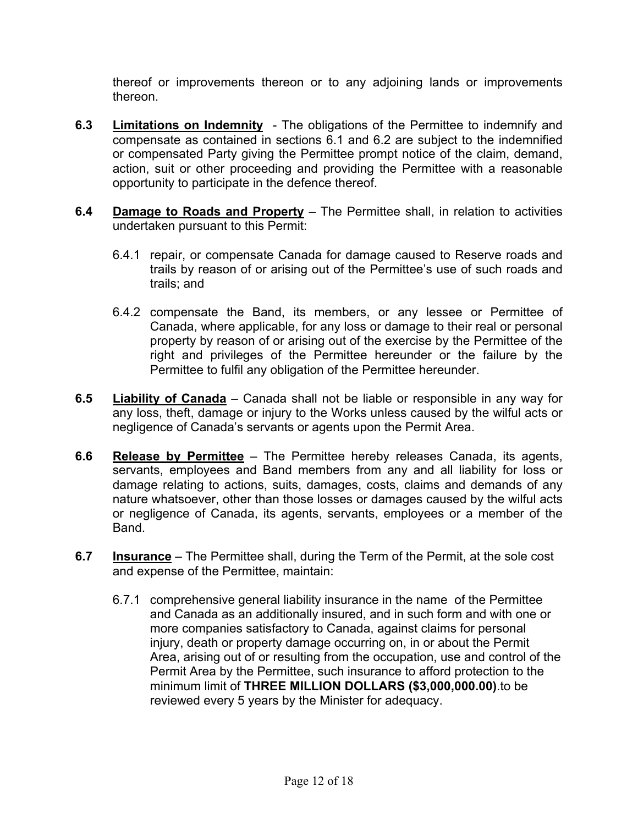thereof or improvements thereon or to any adjoining lands or improvements thereon.

- **6.3 Limitations on Indemnity** The obligations of the Permittee to indemnify and compensate as contained in sections 6.1 and 6.2 are subject to the indemnified or compensated Party giving the Permittee prompt notice of the claim, demand, action, suit or other proceeding and providing the Permittee with a reasonable opportunity to participate in the defence thereof.
- **6.4 Damage to Roads and Property** The Permittee shall, in relation to activities undertaken pursuant to this Permit:
	- 6.4.1 repair, or compensate Canada for damage caused to Reserve roads and trails by reason of or arising out of the Permittee's use of such roads and trails; and
	- 6.4.2 compensate the Band, its members, or any lessee or Permittee of Canada, where applicable, for any loss or damage to their real or personal property by reason of or arising out of the exercise by the Permittee of the right and privileges of the Permittee hereunder or the failure by the Permittee to fulfil any obligation of the Permittee hereunder.
- **6.5 Liability of Canada** Canada shall not be liable or responsible in any way for any loss, theft, damage or injury to the Works unless caused by the wilful acts or negligence of Canada's servants or agents upon the Permit Area.
- **6.6 Release by Permittee** The Permittee hereby releases Canada, its agents, servants, employees and Band members from any and all liability for loss or damage relating to actions, suits, damages, costs, claims and demands of any nature whatsoever, other than those losses or damages caused by the wilful acts or negligence of Canada, its agents, servants, employees or a member of the Band.
- **6.7 Insurance** The Permittee shall, during the Term of the Permit, at the sole cost and expense of the Permittee, maintain:
	- 6.7.1 comprehensive general liability insurance in the name of the Permittee and Canada as an additionally insured, and in such form and with one or more companies satisfactory to Canada, against claims for personal injury, death or property damage occurring on, in or about the Permit Area, arising out of or resulting from the occupation, use and control of the Permit Area by the Permittee, such insurance to afford protection to the minimum limit of **THREE MILLION DOLLARS (\$3,000,000.00)**.to be reviewed every 5 years by the Minister for adequacy.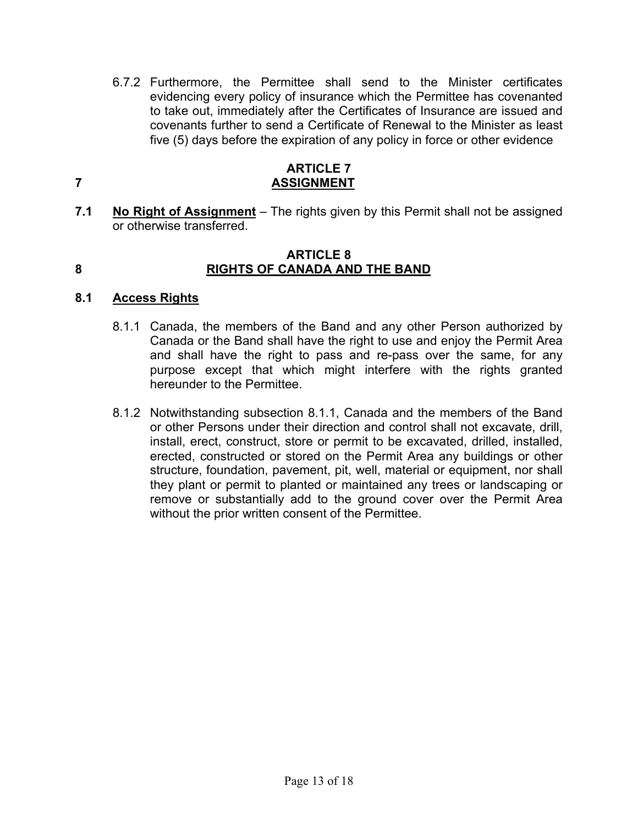6.7.2 Furthermore, the Permittee shall send to the Minister certificates evidencing every policy of insurance which the Permittee has covenanted to take out, immediately after the Certificates of Insurance are issued and covenants further to send a Certificate of Renewal to the Minister as least five (5) days before the expiration of any policy in force or other evidence

#### **ARTICLE 7 7 ASSIGNMENT**

**7.1 No Right of Assignment** – The rights given by this Permit shall not be assigned or otherwise transferred.

#### **ARTICLE 8 8 RIGHTS OF CANADA AND THE BAND**

### **8.1 Access Rights**

- 8.1.1 Canada, the members of the Band and any other Person authorized by Canada or the Band shall have the right to use and enjoy the Permit Area and shall have the right to pass and re-pass over the same, for any purpose except that which might interfere with the rights granted hereunder to the Permittee.
- 8.1.2 Notwithstanding subsection 8.1.1, Canada and the members of the Band or other Persons under their direction and control shall not excavate, drill, install, erect, construct, store or permit to be excavated, drilled, installed, erected, constructed or stored on the Permit Area any buildings or other structure, foundation, pavement, pit, well, material or equipment, nor shall they plant or permit to planted or maintained any trees or landscaping or remove or substantially add to the ground cover over the Permit Area without the prior written consent of the Permittee.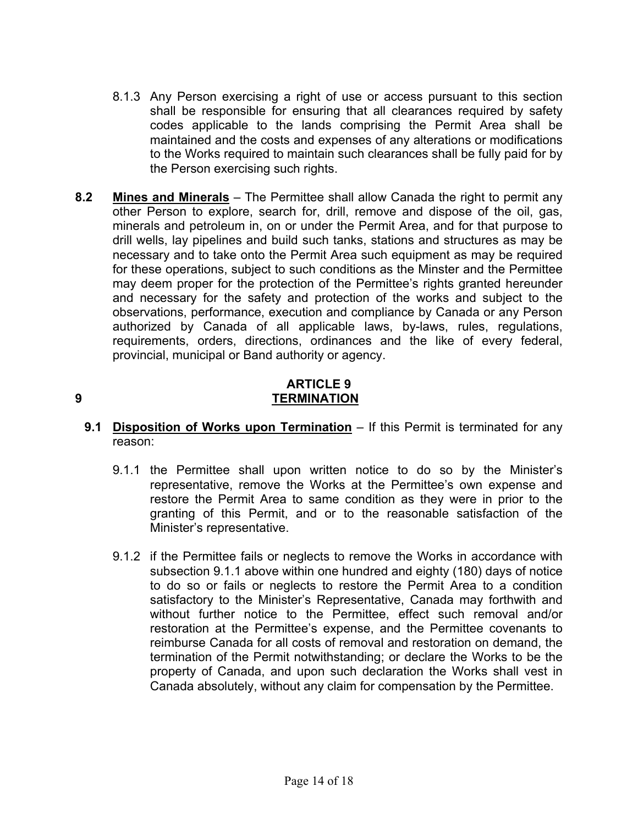- 8.1.3 Any Person exercising a right of use or access pursuant to this section shall be responsible for ensuring that all clearances required by safety codes applicable to the lands comprising the Permit Area shall be maintained and the costs and expenses of any alterations or modifications to the Works required to maintain such clearances shall be fully paid for by the Person exercising such rights.
- **8.2 Mines and Minerals** The Permittee shall allow Canada the right to permit any other Person to explore, search for, drill, remove and dispose of the oil, gas, minerals and petroleum in, on or under the Permit Area, and for that purpose to drill wells, lay pipelines and build such tanks, stations and structures as may be necessary and to take onto the Permit Area such equipment as may be required for these operations, subject to such conditions as the Minster and the Permittee may deem proper for the protection of the Permittee's rights granted hereunder and necessary for the safety and protection of the works and subject to the observations, performance, execution and compliance by Canada or any Person authorized by Canada of all applicable laws, by-laws, rules, regulations, requirements, orders, directions, ordinances and the like of every federal, provincial, municipal or Band authority or agency.

#### **ARTICLE 9 9 TERMINATION**

- **9.1 Disposition of Works upon Termination** If this Permit is terminated for any reason:
	- 9.1.1 the Permittee shall upon written notice to do so by the Minister's representative, remove the Works at the Permittee's own expense and restore the Permit Area to same condition as they were in prior to the granting of this Permit, and or to the reasonable satisfaction of the Minister's representative.
	- 9.1.2 if the Permittee fails or neglects to remove the Works in accordance with subsection 9.1.1 above within one hundred and eighty (180) days of notice to do so or fails or neglects to restore the Permit Area to a condition satisfactory to the Minister's Representative, Canada may forthwith and without further notice to the Permittee, effect such removal and/or restoration at the Permittee's expense, and the Permittee covenants to reimburse Canada for all costs of removal and restoration on demand, the termination of the Permit notwithstanding; or declare the Works to be the property of Canada, and upon such declaration the Works shall vest in Canada absolutely, without any claim for compensation by the Permittee.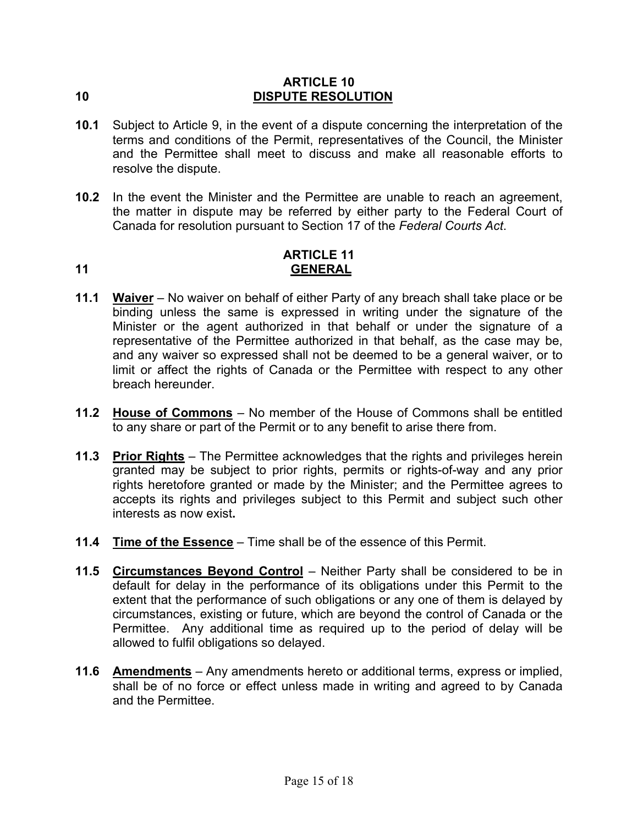#### **ARTICLE 10 10 DISPUTE RESOLUTION**

- **10.1** Subject to Article 9, in the event of a dispute concerning the interpretation of the terms and conditions of the Permit, representatives of the Council, the Minister and the Permittee shall meet to discuss and make all reasonable efforts to resolve the dispute.
- **10.2** In the event the Minister and the Permittee are unable to reach an agreement, the matter in dispute may be referred by either party to the Federal Court of Canada for resolution pursuant to Section 17 of the *Federal Courts Act*.

# **ARTICLE 11 11 GENERAL**

- **11.1 Waiver** No waiver on behalf of either Party of any breach shall take place or be binding unless the same is expressed in writing under the signature of the Minister or the agent authorized in that behalf or under the signature of a representative of the Permittee authorized in that behalf, as the case may be, and any waiver so expressed shall not be deemed to be a general waiver, or to limit or affect the rights of Canada or the Permittee with respect to any other breach hereunder.
- **11.2 House of Commons** No member of the House of Commons shall be entitled to any share or part of the Permit or to any benefit to arise there from.
- **11.3 Prior Rights** The Permittee acknowledges that the rights and privileges herein granted may be subject to prior rights, permits or rights-of-way and any prior rights heretofore granted or made by the Minister; and the Permittee agrees to accepts its rights and privileges subject to this Permit and subject such other interests as now exist**.**
- **11.4 Time of the Essence** Time shall be of the essence of this Permit.
- **11.5 Circumstances Beyond Control** Neither Party shall be considered to be in default for delay in the performance of its obligations under this Permit to the extent that the performance of such obligations or any one of them is delayed by circumstances, existing or future, which are beyond the control of Canada or the Permittee. Any additional time as required up to the period of delay will be allowed to fulfil obligations so delayed.
- **11.6 Amendments** Any amendments hereto or additional terms, express or implied, shall be of no force or effect unless made in writing and agreed to by Canada and the Permittee.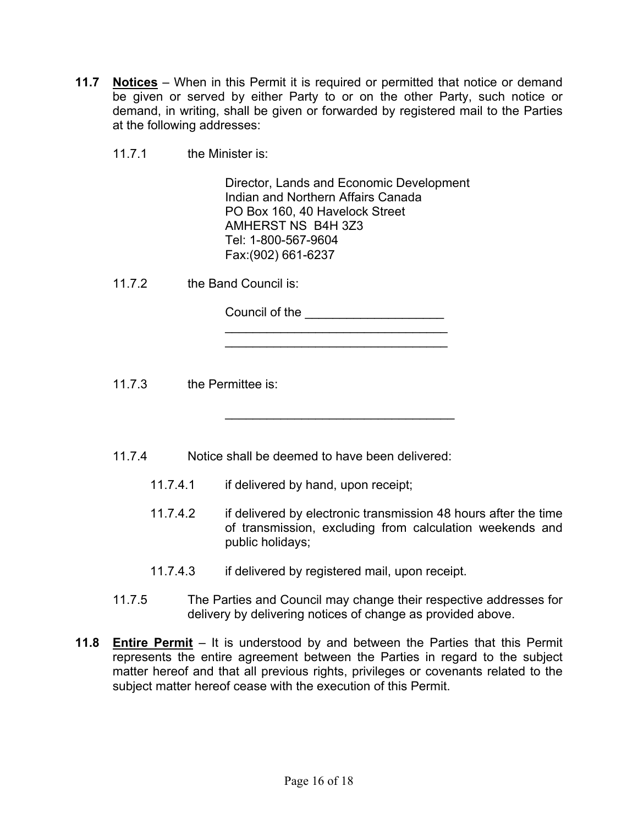- **11.7 Notices** When in this Permit it is required or permitted that notice or demand be given or served by either Party to or on the other Party, such notice or demand, in writing, shall be given or forwarded by registered mail to the Parties at the following addresses:
	- 11.7.1 the Minister is:

Director, Lands and Economic Development Indian and Northern Affairs Canada PO Box 160, 40 Havelock Street AMHERST NS B4H 3Z3 Tel: 1-800-567-9604 Fax:(902) 661-6237

\_\_\_\_\_\_\_\_\_\_\_\_\_\_\_\_\_\_\_\_\_\_\_\_\_\_\_\_\_\_\_\_ \_\_\_\_\_\_\_\_\_\_\_\_\_\_\_\_\_\_\_\_\_\_\_\_\_\_\_\_\_\_\_\_

 $\mathcal{L}=\{1,2,3,4,5\}$ 

11.7.2 the Band Council is:

Council of the \_\_\_\_\_\_\_\_\_\_\_\_\_\_\_\_\_\_\_\_

11.7.3 the Permittee is:

- 11.7.4 Notice shall be deemed to have been delivered:
	- 11.7.4.1 if delivered by hand, upon receipt;
	- 11.7.4.2 if delivered by electronic transmission 48 hours after the time of transmission, excluding from calculation weekends and public holidays;
	- 11.7.4.3 if delivered by registered mail, upon receipt.
- 11.7.5 The Parties and Council may change their respective addresses for delivery by delivering notices of change as provided above.
- **11.8 Entire Permit** It is understood by and between the Parties that this Permit represents the entire agreement between the Parties in regard to the subject matter hereof and that all previous rights, privileges or covenants related to the subject matter hereof cease with the execution of this Permit.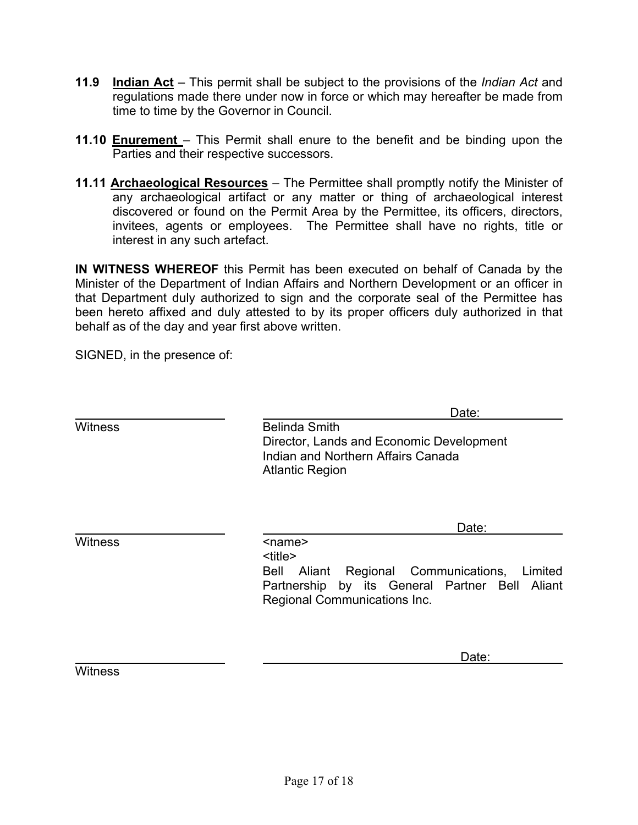- **11.9 Indian Act** This permit shall be subject to the provisions of the *Indian Act* and regulations made there under now in force or which may hereafter be made from time to time by the Governor in Council.
- **11.10 Enurement**  This Permit shall enure to the benefit and be binding upon the Parties and their respective successors.
- **11.11 Archaeological Resources** The Permittee shall promptly notify the Minister of any archaeological artifact or any matter or thing of archaeological interest discovered or found on the Permit Area by the Permittee, its officers, directors, invitees, agents or employees. The Permittee shall have no rights, title or interest in any such artefact.

**IN WITNESS WHEREOF** this Permit has been executed on behalf of Canada by the Minister of the Department of Indian Affairs and Northern Development or an officer in that Department duly authorized to sign and the corporate seal of the Permittee has been hereto affixed and duly attested to by its proper officers duly authorized in that behalf as of the day and year first above written.

SIGNED, in the presence of:

|                | Date:                                                                                                                                                            |
|----------------|------------------------------------------------------------------------------------------------------------------------------------------------------------------|
| <b>Witness</b> | <b>Belinda Smith</b><br>Director, Lands and Economic Development<br>Indian and Northern Affairs Canada<br><b>Atlantic Region</b>                                 |
| <b>Witness</b> | Date:<br><name></name>                                                                                                                                           |
|                | <title><br/>Aliant Regional Communications,<br/>Limited<br/>Bell<br/>Partnership by its General Partner Bell<br/>Aliant<br/>Regional Communications Inc.</title> |
|                | Date:                                                                                                                                                            |

**Witness**